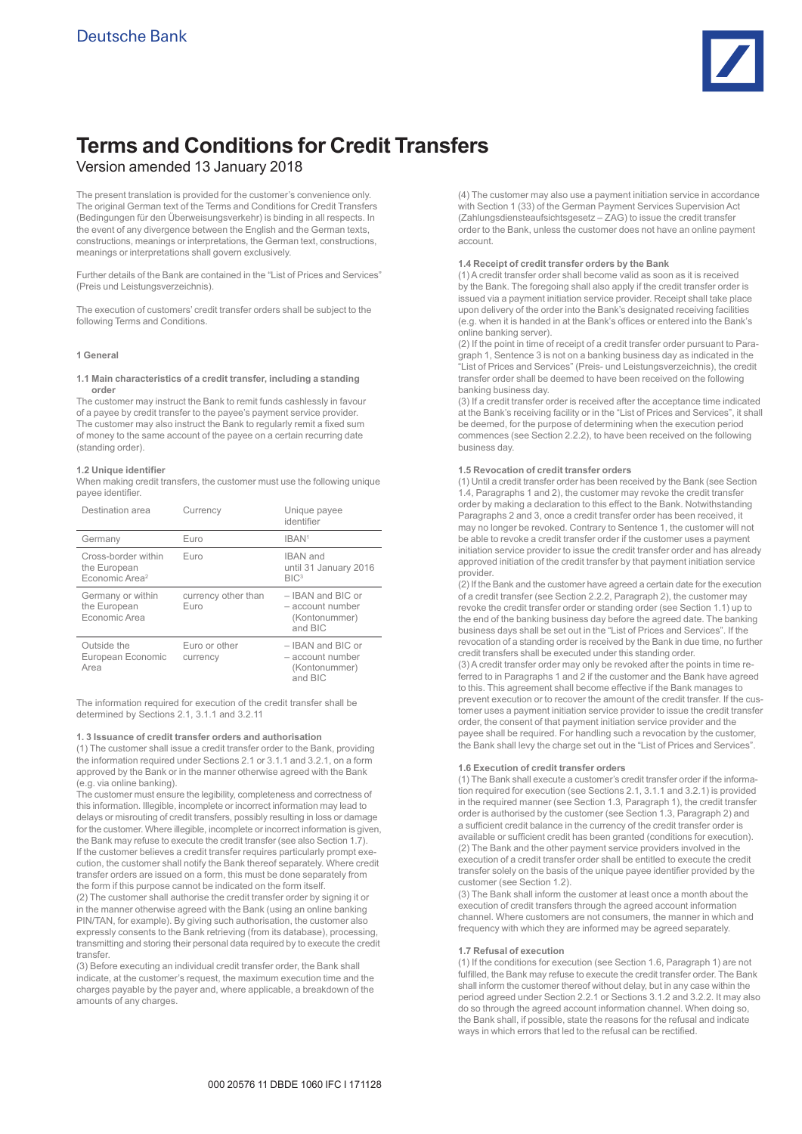

# **Terms and Conditions for Credit Transfers**

# Version amended 13 January 2018

The present translation is provided for the customer's convenience only. The original German text of the Terms and Conditions for Credit Transfers (Bedingungen für den Überweisungsverkehr) is binding in all respects. In the event of any divergence between the English and the German texts, constructions, meanings or interpretations, the German text, constructions, meanings or interpretations shall govern exclusively.

Further details of the Bank are contained in the "List of Prices and Services" (Preis und Leistungsverzeichnis).

The execution of customers' credit transfer orders shall be subject to the following Terms and Conditions.

# **1 General**

#### **1.1 Main characteristics of a credit transfer, including a standing order**

The customer may instruct the Bank to remit funds cashlessly in favour of a payee by credit transfer to the payee's payment service provider. The customer may also instruct the Bank to regularly remit a fixed sum of money to the same account of the payee on a certain recurring date (standing order).

#### **1.2 Unique identifier**

When making credit transfers, the customer must use the following unique payee identifier.

| Destination area                                                  | Currency                    | Unique payee<br>identifier                                            |
|-------------------------------------------------------------------|-----------------------------|-----------------------------------------------------------------------|
| Germany                                                           | Euro                        | IBAN <sup>1</sup>                                                     |
| Cross-border within<br>the European<br>Economic Area <sup>2</sup> | Euro                        | <b>IBAN</b> and<br>until 31 January 2016<br>BIC <sup>3</sup>          |
| Germany or within<br>the European<br>Economic Area                | currency other than<br>Euro | - IBAN and BIC or<br>$-$ account number<br>(Kontonummer)<br>and BIC   |
| Outside the<br>European Economic<br>Area                          | Euro or other<br>currency   | $-$ IBAN and BIC or<br>$-$ account number<br>(Kontonummer)<br>and BIC |

The information required for execution of the credit transfer shall be determined by Sections 2.1, 3.1.1 and 3.2.11

## **1. 3 Issuance of credit transfer orders and authorisation**

(1) The customer shall issue a credit transfer order to the Bank, providing the information required under Sections 2.1 or 3.1.1 and 3.2.1, on a form approved by the Bank or in the manner otherwise agreed with the Bank (e.g. via online banking).

The customer must ensure the legibility, completeness and correctness of this information. Illegible, incomplete or incorrect information may lead to delays or misrouting of credit transfers, possibly resulting in loss or damage for the customer. Where illegible, incomplete or incorrect information is given, the Bank may refuse to execute the credit transfer (see also Section 1.7). If the customer believes a credit transfer requires particularly prompt execution, the customer shall notify the Bank thereof separately. Where credit transfer orders are issued on a form, this must be done separately from the form if this purpose cannot be indicated on the form itself.

(2) The customer shall authorise the credit transfer order by signing it or in the manner otherwise agreed with the Bank (using an online banking PIN/TAN, for example). By giving such authorisation, the customer also expressly consents to the Bank retrieving (from its database), processing, transmitting and storing their personal data required by to execute the credit transfer.

(3) Before executing an individual credit transfer order, the Bank shall indicate, at the customer's request, the maximum execution time and the charges payable by the payer and, where applicable, a breakdown of the amounts of any charges.

(4) The customer may also use a payment initiation service in accordance with Section 1 (33) of the German Payment Services Supervision Act (Zahlungsdiensteaufsichtsgesetz – ZAG) to issue the credit transfer order to the Bank, unless the customer does not have an online payment account.

# **1.4 Receipt of credit transfer orders by the Bank**

(1) A credit transfer order shall become valid as soon as it is received by the Bank. The foregoing shall also apply if the credit transfer order is issued via a payment initiation service provider. Receipt shall take place upon delivery of the order into the Bank's designated receiving facilities (e.g. when it is handed in at the Bank's offices or entered into the Bank's online banking server).

(2) If the point in time of receipt of a credit transfer order pursuant to Paragraph 1, Sentence 3 is not on a banking business day as indicated in the "List of Prices and Services" (Preis- und Leistungsverzeichnis), the credit transfer order shall be deemed to have been received on the following banking business day.

(3) If a credit transfer order is received after the acceptance time indicated at the Bank's receiving facility or in the "List of Prices and Services", it shall be deemed, for the purpose of determining when the execution period commences (see Section 2.2.2), to have been received on the following business day.

# **1.5 Revocation of credit transfer orders**

(1) Until a credit transfer order has been received by the Bank (see Section 1.4, Paragraphs 1 and 2), the customer may revoke the credit transfer order by making a declaration to this effect to the Bank. Notwithstanding Paragraphs 2 and 3, once a credit transfer order has been received, it may no longer be revoked. Contrary to Sentence 1, the customer will not be able to revoke a credit transfer order if the customer uses a payment initiation service provider to issue the credit transfer order and has already approved initiation of the credit transfer by that payment initiation service provider.

(2) If the Bank and the customer have agreed a certain date for the execution of a credit transfer (see Section 2.2.2, Paragraph 2), the customer may revoke the credit transfer order or standing order (see Section 1.1) up to the end of the banking business day before the agreed date. The banking business days shall be set out in the "List of Prices and Services". If the revocation of a standing order is received by the Bank in due time, no further credit transfers shall be executed under this standing order.

(3) A credit transfer order may only be revoked after the points in time referred to in Paragraphs 1 and 2 if the customer and the Bank have agreed to this. This agreement shall become effective if the Bank manages to prevent execution or to recover the amount of the credit transfer. If the customer uses a payment initiation service provider to issue the credit transfer order, the consent of that payment initiation service provider and the payee shall be required. For handling such a revocation by the customer, the Bank shall levy the charge set out in the "List of Prices and Services".

#### **1.6 Execution of credit transfer orders**

(1) The Bank shall execute a customer's credit transfer order if the information required for execution (see Sections 2.1, 3.1.1 and 3.2.1) is provided in the required manner (see Section 1.3, Paragraph 1), the credit transfer order is authorised by the customer (see Section 1.3, Paragraph 2) and a sufficient credit balance in the currency of the credit transfer order is available or sufficient credit has been granted (conditions for execution). (2) The Bank and the other payment service providers involved in the execution of a credit transfer order shall be entitled to execute the credit transfer solely on the basis of the unique payee identifier provided by the customer (see Section 1.2).

(3) The Bank shall inform the customer at least once a month about the execution of credit transfers through the agreed account information channel. Where customers are not consumers, the manner in which and frequency with which they are informed may be agreed separately.

#### **1.7 Refusal of execution**

(1) If the conditions for execution (see Section 1.6, Paragraph 1) are not fulfilled, the Bank may refuse to execute the credit transfer order. The Bank shall inform the customer thereof without delay, but in any case within the period agreed under Section 2.2.1 or Sections 3.1.2 and 3.2.2. It may also do so through the agreed account information channel. When doing so, the Bank shall, if possible, state the reasons for the refusal and indicate ways in which errors that led to the refusal can be rectified.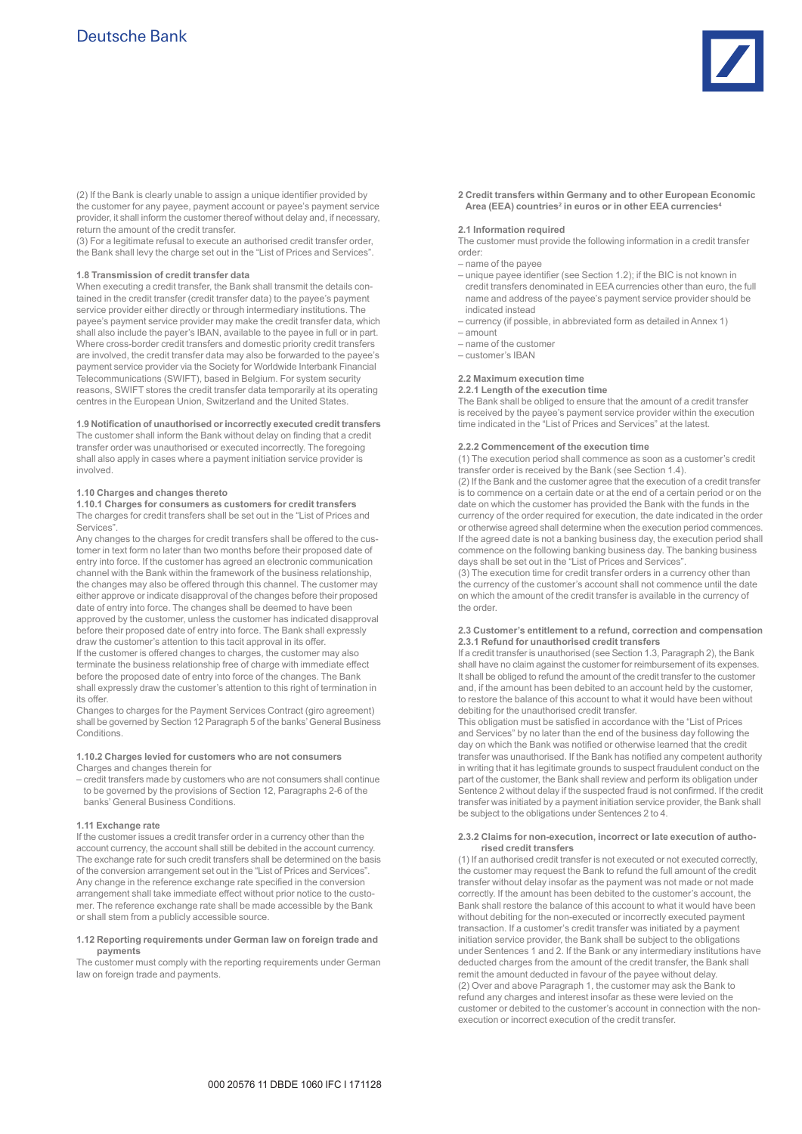

(2) If the Bank is clearly unable to assign a unique identifier provided by the customer for any payee, payment account or payee's payment service provider, it shall inform the customer thereof without delay and, if necessary, return the amount of the credit transfer.

(3) For a legitimate refusal to execute an authorised credit transfer order, the Bank shall levy the charge set out in the "List of Prices and Services".

# **1.8 Transmission of credit transfer data**

When executing a credit transfer, the Bank shall transmit the details contained in the credit transfer (credit transfer data) to the payee's payment service provider either directly or through intermediary institutions. The payee's payment service provider may make the credit transfer data, which shall also include the payer's IBAN, available to the payee in full or in part. Where cross-border credit transfers and domestic priority credit transfers are involved, the credit transfer data may also be forwarded to the payee's payment service provider via the Society for Worldwide Interbank Financial Telecommunications (SWIFT), based in Belgium. For system security reasons, SWIFT stores the credit transfer data temporarily at its operating centres in the European Union, Switzerland and the United States.

#### **1.9 Notification of unauthorised or incorrectly executed credit transfers**

The customer shall inform the Bank without delay on finding that a credit transfer order was unauthorised or executed incorrectly. The foregoing shall also apply in cases where a payment initiation service provider is involved.

# **1.10 Charges and changes thereto**

**1.10.1 Charges for consumers as customers for credit transfers** The charges for credit transfers shall be set out in the "List of Prices and Services".

Any changes to the charges for credit transfers shall be offered to the customer in text form no later than two months before their proposed date of entry into force. If the customer has agreed an electronic communication channel with the Bank within the framework of the business relationship, the changes may also be offered through this channel. The customer may either approve or indicate disapproval of the changes before their proposed date of entry into force. The changes shall be deemed to have been approved by the customer, unless the customer has indicated disapproval before their proposed date of entry into force. The Bank shall expressly draw the customer's attention to this tacit approval in its offer.

If the customer is offered changes to charges, the customer may also terminate the business relationship free of charge with immediate effect before the proposed date of entry into force of the changes. The Bank shall expressly draw the customer's attention to this right of termination in its offer.

Changes to charges for the Payment Services Contract (giro agreement) shall be governed by Section 12 Paragraph 5 of the banks' General Business **Conditions** 

# **1.10.2 Charges levied for customers who are not consumers**

- Charges and changes therein for – credit transfers made by customers who are not consumers shall continue to be governed by the provisions of Section 12, Paragraphs 2-6 of the
- banks' General Business Conditions.

#### **1.11 Exchange rate**

If the customer issues a credit transfer order in a currency other than the account currency, the account shall still be debited in the account currency. The exchange rate for such credit transfers shall be determined on the basis of the conversion arrangement set out in the "List of Prices and Services". Any change in the reference exchange rate specified in the conversion arrangement shall take immediate effect without prior notice to the customer. The reference exchange rate shall be made accessible by the Bank or shall stem from a publicly accessible source.

#### **1.12 Reporting requirements under German law on foreign trade and payments**

The customer must comply with the reporting requirements under German law on foreign trade and payments.

**2 Credit transfers within Germany and to other European Economic**  Area (EEA) countries<sup>2</sup> in euros or in other EEA currencies<sup>4</sup>

# **2.1 Information required**

The customer must provide the following information in a credit transfer order:

– name of the payee

- unique payee identifier (see Section 1.2); if the BIC is not known in credit transfers denominated in EEA currencies other than euro, the full name and address of the payee's payment service provider should be indicated instead
- currency (if possible, in abbreviated form as detailed in Annex 1)
- amount
- name of the customer
- customer's IBAN

#### **2.2 Maximum execution time**

**2.2.1 Length of the execution time**

The Bank shall be obliged to ensure that the amount of a credit transfer is received by the payee's payment service provider within the execution time indicated in the "List of Prices and Services" at the latest.

## **2.2.2 Commencement of the execution time**

(1) The execution period shall commence as soon as a customer's credit transfer order is received by the Bank (see Section 1.4).

(2) If the Bank and the customer agree that the execution of a credit transfer is to commence on a certain date or at the end of a certain period or on the date on which the customer has provided the Bank with the funds in the currency of the order required for execution, the date indicated in the order or otherwise agreed shall determine when the execution period commences. If the agreed date is not a banking business day, the execution period shall commence on the following banking business day. The banking business days shall be set out in the "List of Prices and Services'

(3) The execution time for credit transfer orders in a currency other than the currency of the customer's account shall not commence until the date on which the amount of the credit transfer is available in the currency of the order.

#### **2.3 Customer's entitlement to a refund, correction and compensation 2.3.1 Refund for unauthorised credit transfers**

If a credit transfer is unauthorised (see Section 1.3, Paragraph 2), the Bank shall have no claim against the customer for reimbursement of its expenses. It shall be obliged to refund the amount of the credit transfer to the customer and, if the amount has been debited to an account held by the customer, to restore the balance of this account to what it would have been without debiting for the unauthorised credit transfer.

This obligation must be satisfied in accordance with the "List of Prices and Services" by no later than the end of the business day following the day on which the Bank was notified or otherwise learned that the credit transfer was unauthorised. If the Bank has notified any competent authority in writing that it has legitimate grounds to suspect fraudulent conduct on the part of the customer, the Bank shall review and perform its obligation under Sentence 2 without delay if the suspected fraud is not confirmed. If the credit transfer was initiated by a payment initiation service provider, the Bank shall be subject to the obligations under Sentences 2 to 4.

#### **2.3.2 Claims for non-execution, incorrect or late execution of authorised credit transfers**

(1) If an authorised credit transfer is not executed or not executed correctly, the customer may request the Bank to refund the full amount of the credit transfer without delay insofar as the payment was not made or not made correctly. If the amount has been debited to the customer's account, the Bank shall restore the balance of this account to what it would have been without debiting for the non-executed or incorrectly executed payment transaction. If a customer's credit transfer was initiated by a payment initiation service provider, the Bank shall be subject to the obligations under Sentences 1 and 2. If the Bank or any intermediary institutions have deducted charges from the amount of the credit transfer, the Bank shall remit the amount deducted in favour of the payee without delay. (2) Over and above Paragraph 1, the customer may ask the Bank to refund any charges and interest insofar as these were levied on the customer or debited to the customer's account in connection with the nonexecution or incorrect execution of the credit transfer.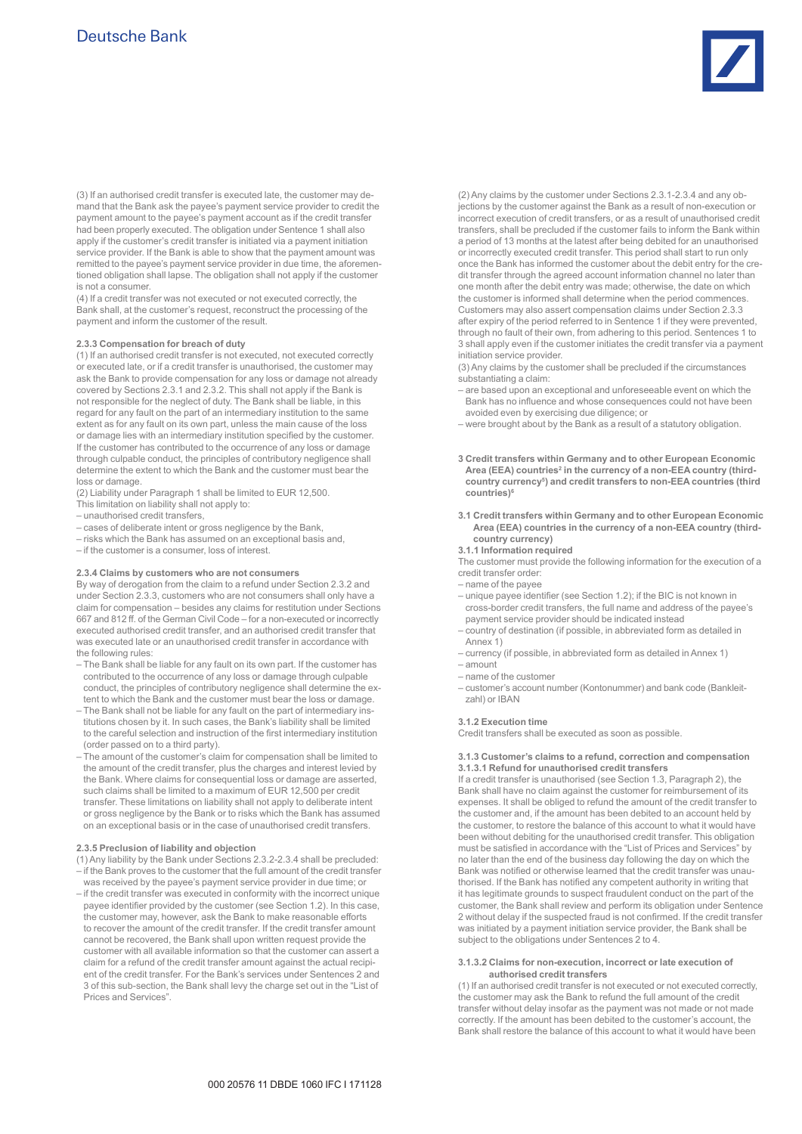

(3) If an authorised credit transfer is executed late, the customer may demand that the Bank ask the payee's payment service provider to credit the payment amount to the payee's payment account as if the credit transfer had been properly executed. The obligation under Sentence 1 shall also apply if the customer's credit transfer is initiated via a payment initiation service provider. If the Bank is able to show that the payment amount was remitted to the payee's payment service provider in due time, the aforementioned obligation shall lapse. The obligation shall not apply if the customer is not a consumer.

(4) If a credit transfer was not executed or not executed correctly, the Bank shall, at the customer's request, reconstruct the processing of the payment and inform the customer of the result.

# **2.3.3 Compensation for breach of duty**

(1) If an authorised credit transfer is not executed, not executed correctly or executed late, or if a credit transfer is unauthorised, the customer may ask the Bank to provide compensation for any loss or damage not already covered by Sections 2.3.1 and 2.3.2. This shall not apply if the Bank is not responsible for the neglect of duty. The Bank shall be liable, in this regard for any fault on the part of an intermediary institution to the same extent as for any fault on its own part, unless the main cause of the loss or damage lies with an intermediary institution specified by the customer. If the customer has contributed to the occurrence of any loss or damage through culpable conduct, the principles of contributory negligence shall determine the extent to which the Bank and the customer must bear the loss or damage.

(2) Liability under Paragraph 1 shall be limited to EUR 12,500.

- This limitation on liability shall not apply to:
- unauthorised credit transfers,
- cases of deliberate intent or gross negligence by the Bank,
- risks which the Bank has assumed on an exceptional basis and,
- if the customer is a consumer, loss of interest.

#### **2.3.4 Claims by customers who are not consumers**

By way of derogation from the claim to a refund under Section 2.3.2 and under Section 2.3.3, customers who are not consumers shall only have a claim for compensation – besides any claims for restitution under Sections 667 and 812 ff. of the German Civil Code – for a non-executed or incorrectly executed authorised credit transfer, and an authorised credit transfer that was executed late or an unauthorised credit transfer in accordance with the following rules:

- The Bank shall be liable for any fault on its own part. If the customer has contributed to the occurrence of any loss or damage through culpable conduct, the principles of contributory negligence shall determine the extent to which the Bank and the customer must bear the loss or damage.
- The Bank shall not be liable for any fault on the part of intermediary institutions chosen by it. In such cases, the Bank's liability shall be limited to the careful selection and instruction of the first intermediary institution (order passed on to a third party).
- The amount of the customer's claim for compensation shall be limited to the amount of the credit transfer, plus the charges and interest levied by the Bank. Where claims for consequential loss or damage are asserted, such claims shall be limited to a maximum of EUR 12,500 per credit transfer. These limitations on liability shall not apply to deliberate intent or gross negligence by the Bank or to risks which the Bank has assumed on an exceptional basis or in the case of unauthorised credit transfers.

# **2.3.5 Preclusion of liability and objection**

- (1) Any liability by the Bank under Sections 2.3.2-2.3.4 shall be precluded: – if the Bank proves to the customer that the full amount of the credit transfer was received by the payee's payment service provider in due time; or
- if the credit transfer was executed in conformity with the incorrect unique payee identifier provided by the customer (see Section 1.2). In this case, the customer may, however, ask the Bank to make reasonable efforts to recover the amount of the credit transfer. If the credit transfer amount cannot be recovered, the Bank shall upon written request provide the customer with all available information so that the customer can assert a claim for a refund of the credit transfer amount against the actual recipient of the credit transfer. For the Bank's services under Sentences 2 and 3 of this sub-section, the Bank shall levy the charge set out in the "List of Prices and Services".

(2) Any claims by the customer under Sections 2.3.1-2.3.4 and any objections by the customer against the Bank as a result of non-execution or incorrect execution of credit transfers, or as a result of unauthorised credit transfers, shall be precluded if the customer fails to inform the Bank within a period of 13 months at the latest after being debited for an unauthorised or incorrectly executed credit transfer. This period shall start to run only once the Bank has informed the customer about the debit entry for the credit transfer through the agreed account information channel no later than one month after the debit entry was made; otherwise, the date on which the customer is informed shall determine when the period commences. Customers may also assert compensation claims under Section 2.3.3 after expiry of the period referred to in Sentence 1 if they were prevented, through no fault of their own, from adhering to this period. Sentences 1 to 3 shall apply even if the customer initiates the credit transfer via a payment initiation service provider.

(3) Any claims by the customer shall be precluded if the circumstances substantiating a claim:

- are based upon an exceptional and unforeseeable event on which the Bank has no influence and whose consequences could not have been avoided even by exercising due diligence; or
- were brought about by the Bank as a result of a statutory obligation.
- **3 Credit transfers within Germany and to other European Economic**  Area (EEA) countries<sup>2</sup> in the currency of a non-EEA country (third**country currency5 ) and credit transfers to non-EEA countries (third countries)6**
- **3.1 Credit transfers within Germany and to other European Economic Area (EEA) countries in the currency of a non-EEA country (thirdcountry currency)**
- **3.1.1 Information required**
- The customer must provide the following information for the execution of a credit transfer order:
- name of the payee
- unique payee identifier (see Section 1.2); if the BIC is not known in cross-border credit transfers, the full name and address of the payee's payment service provider should be indicated instead
- country of destination (if possible, in abbreviated form as detailed in Annex 1)
- currency (if possible, in abbreviated form as detailed in Annex 1) – amount
- name of the customer
- customer's account number (Kontonummer) and bank code (Bankleitzahl) or IBAN

#### **3.1.2 Execution time**

Credit transfers shall be executed as soon as possible.

#### **3.1.3 Customer's claims to a refund, correction and compensation 3.1.3.1 Refund for unauthorised credit transfers**

If a credit transfer is unauthorised (see Section 1.3, Paragraph 2), the Bank shall have no claim against the customer for reimbursement of its expenses. It shall be obliged to refund the amount of the credit transfer to the customer and, if the amount has been debited to an account held by the customer, to restore the balance of this account to what it would have been without debiting for the unauthorised credit transfer. This obligation must be satisfied in accordance with the "List of Prices and Services" by no later than the end of the business day following the day on which the Bank was notified or otherwise learned that the credit transfer was unauthorised. If the Bank has notified any competent authority in writing that it has legitimate grounds to suspect fraudulent conduct on the part of the customer, the Bank shall review and perform its obligation under Sentence 2 without delay if the suspected fraud is not confirmed. If the credit transfer was initiated by a payment initiation service provider, the Bank shall be subject to the obligations under Sentences 2 to 4.

#### **3.1.3.2 Claims for non-execution, incorrect or late execution of authorised credit transfers**

(1) If an authorised credit transfer is not executed or not executed correctly, the customer may ask the Bank to refund the full amount of the credit transfer without delay insofar as the payment was not made or not made correctly. If the amount has been debited to the customer's account, the Bank shall restore the balance of this account to what it would have been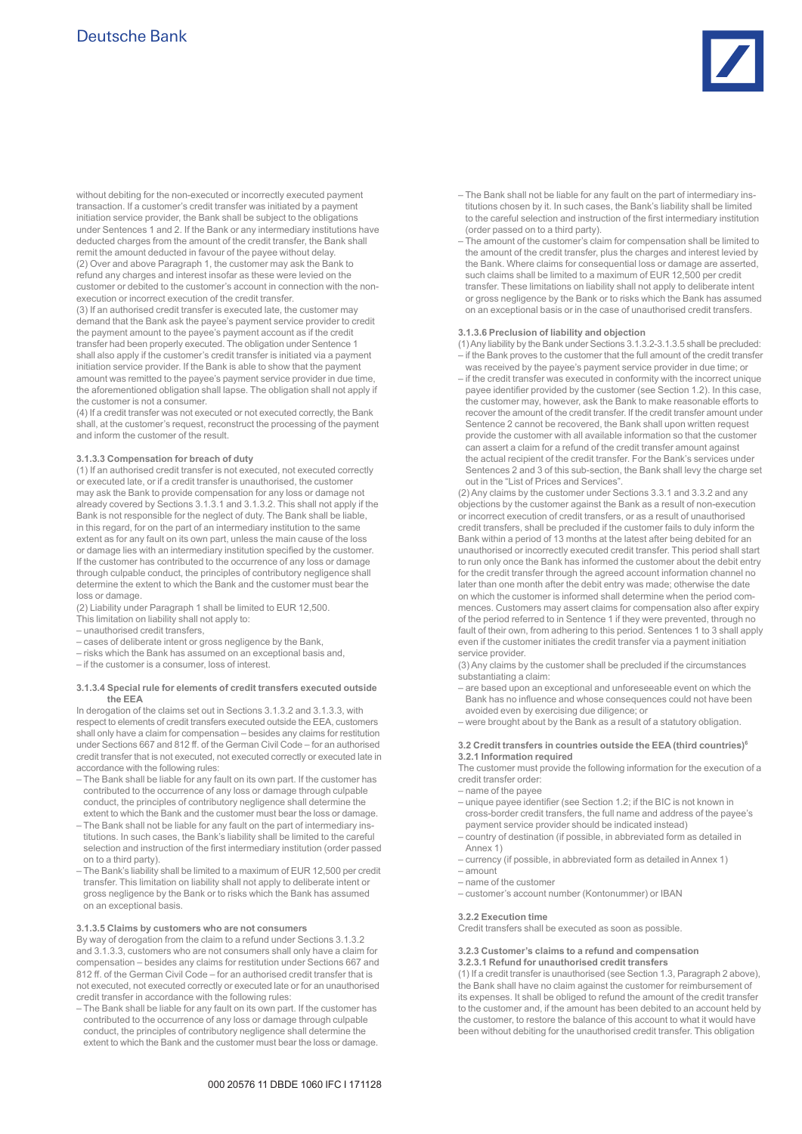

without debiting for the non-executed or incorrectly executed payment transaction. If a customer's credit transfer was initiated by a payment initiation service provider, the Bank shall be subject to the obligations under Sentences 1 and 2. If the Bank or any intermediary institutions have deducted charges from the amount of the credit transfer, the Bank shall remit the amount deducted in favour of the payee without delay. (2) Over and above Paragraph 1, the customer may ask the Bank to refund any charges and interest insofar as these were levied on the customer or debited to the customer's account in connection with the nonexecution or incorrect execution of the credit transfer.

(3) If an authorised credit transfer is executed late, the customer may demand that the Bank ask the payee's payment service provider to credit the payment amount to the payee's payment account as if the credit transfer had been properly executed. The obligation under Sentence 1 shall also apply if the customer's credit transfer is initiated via a payment initiation service provider. If the Bank is able to show that the payment amount was remitted to the payee's payment service provider in due time, the aforementioned obligation shall lapse. The obligation shall not apply if the customer is not a consumer.

(4) If a credit transfer was not executed or not executed correctly, the Bank shall, at the customer's request, reconstruct the processing of the payment and inform the customer of the result.

# **3.1.3.3 Compensation for breach of duty**

(1) If an authorised credit transfer is not executed, not executed correctly or executed late, or if a credit transfer is unauthorised, the customer may ask the Bank to provide compensation for any loss or damage not already covered by Sections 3.1.3.1 and 3.1.3.2. This shall not apply if the Bank is not responsible for the neglect of duty. The Bank shall be liable, in this regard, for on the part of an intermediary institution to the same extent as for any fault on its own part, unless the main cause of the loss or damage lies with an intermediary institution specified by the customer. If the customer has contributed to the occurrence of any loss or damage through culpable conduct, the principles of contributory negligence shall determine the extent to which the Bank and the customer must bear the loss or damage

(2) Liability under Paragraph 1 shall be limited to EUR 12,500.

This limitation on liability shall not apply to: – unauthorised credit transfers,

- 
- cases of deliberate intent or gross negligence by the Bank,
- risks which the Bank has assumed on an exceptional basis and,
- if the customer is a consumer, loss of interest.

## **3.1.3.4 Special rule for elements of credit transfers executed outside the EEA**

In derogation of the claims set out in Sections 3.1.3.2 and 3.1.3.3, with respect to elements of credit transfers executed outside the EEA, customers shall only have a claim for compensation – besides any claims for restitution under Sections 667 and 812 ff. of the German Civil Code – for an authorised credit transfer that is not executed, not executed correctly or executed late in accordance with the following rules:

- The Bank shall be liable for any fault on its own part. If the customer has contributed to the occurrence of any loss or damage through culpable conduct, the principles of contributory negligence shall determine the extent to which the Bank and the customer must bear the loss or damage.
- The Bank shall not be liable for any fault on the part of intermediary institutions. In such cases, the Bank's liability shall be limited to the careful selection and instruction of the first intermediary institution (order passed on to a third party).
- The Bank's liability shall be limited to a maximum of EUR 12,500 per credit transfer. This limitation on liability shall not apply to deliberate intent or gross negligence by the Bank or to risks which the Bank has assumed on an exceptional basis.

#### **3.1.3.5 Claims by customers who are not consumers**

By way of derogation from the claim to a refund under Sections 3.1.3.2 and 3.1.3.3, customers who are not consumers shall only have a claim for compensation – besides any claims for restitution under Sections 667 and 812 ff. of the German Civil Code – for an authorised credit transfer that is not executed, not executed correctly or executed late or for an unauthorised credit transfer in accordance with the following rules:

– The Bank shall be liable for any fault on its own part. If the customer has contributed to the occurrence of any loss or damage through culpable conduct, the principles of contributory negligence shall determine the extent to which the Bank and the customer must bear the loss or damage.

- The Bank shall not be liable for any fault on the part of intermediary institutions chosen by it. In such cases, the Bank's liability shall be limited to the careful selection and instruction of the first intermediary institution (order passed on to a third party).
- The amount of the customer's claim for compensation shall be limited to the amount of the credit transfer, plus the charges and interest levied by the Bank. Where claims for consequential loss or damage are asserted, such claims shall be limited to a maximum of EUR 12,500 per credit transfer. These limitations on liability shall not apply to deliberate intent or gross negligence by the Bank or to risks which the Bank has assumed on an exceptional basis or in the case of unauthorised credit transfers.

# **3.1.3.6 Preclusion of liability and objection**

- (1) Any liability by the Bank under Sections 3.1.3.2-3.1.3.5 shall be precluded: – if the Bank proves to the customer that the full amount of the credit transfer was received by the payee's payment service provider in due time; or
- if the credit transfer was executed in conformity with the incorrect unique payee identifier provided by the customer (see Section 1.2). In this case, the customer may, however, ask the Bank to make reasonable efforts to recover the amount of the credit transfer. If the credit transfer amount under Sentence 2 cannot be recovered, the Bank shall upon written request provide the customer with all available information so that the customer can assert a claim for a refund of the credit transfer amount against the actual recipient of the credit transfer. For the Bank's services under Sentences 2 and 3 of this sub-section, the Bank shall levy the charge set out in the "List of Prices and Services".

(2) Any claims by the customer under Sections 3.3.1 and 3.3.2 and any objections by the customer against the Bank as a result of non-execution or incorrect execution of credit transfers, or as a result of unauthorised credit transfers, shall be precluded if the customer fails to duly inform the Bank within a period of 13 months at the latest after being debited for an unauthorised or incorrectly executed credit transfer. This period shall start to run only once the Bank has informed the customer about the debit entry for the credit transfer through the agreed account information channel no later than one month after the debit entry was made; otherwise the date on which the customer is informed shall determine when the period commences. Customers may assert claims for compensation also after expiry of the period referred to in Sentence 1 if they were prevented, through no fault of their own, from adhering to this period. Sentences 1 to 3 shall apply even if the customer initiates the credit transfer via a payment initiation service provider.

(3) Any claims by the customer shall be precluded if the circumstances substantiating a claim:

- are based upon an exceptional and unforeseeable event on which the Bank has no influence and whose consequences could not have been avoided even by exercising due diligence; or
- were brought about by the Bank as a result of a statutory obligation.

# **3.2 Credit transfers in countries outside the EEA (third countries)6 3.2.1 Information required**

The customer must provide the following information for the execution of a credit transfer order:

- name of the payee
- unique payee identifier (see Section 1.2; if the BIC is not known in
- cross-border credit transfers, the full name and address of the payee's payment service provider should be indicated instead)
- country of destination (if possible, in abbreviated form as detailed in Annex 1)
- currency (if possible, in abbreviated form as detailed in Annex 1)
- amount
- name of the customer
- customer's account number (Kontonummer) or IBAN

#### **3.2.2 Execution time**

Credit transfers shall be executed as soon as possible.

#### **3.2.3 Customer's claims to a refund and compensation**

**3.2.3.1 Refund for unauthorised credit transfers**  (1) If a credit transfer is unauthorised (see Section 1.3, Paragraph 2 above), the Bank shall have no claim against the customer for reimbursement of its expenses. It shall be obliged to refund the amount of the credit transfer to the customer and, if the amount has been debited to an account held by the customer, to restore the balance of this account to what it would have been without debiting for the unauthorised credit transfer. This obligation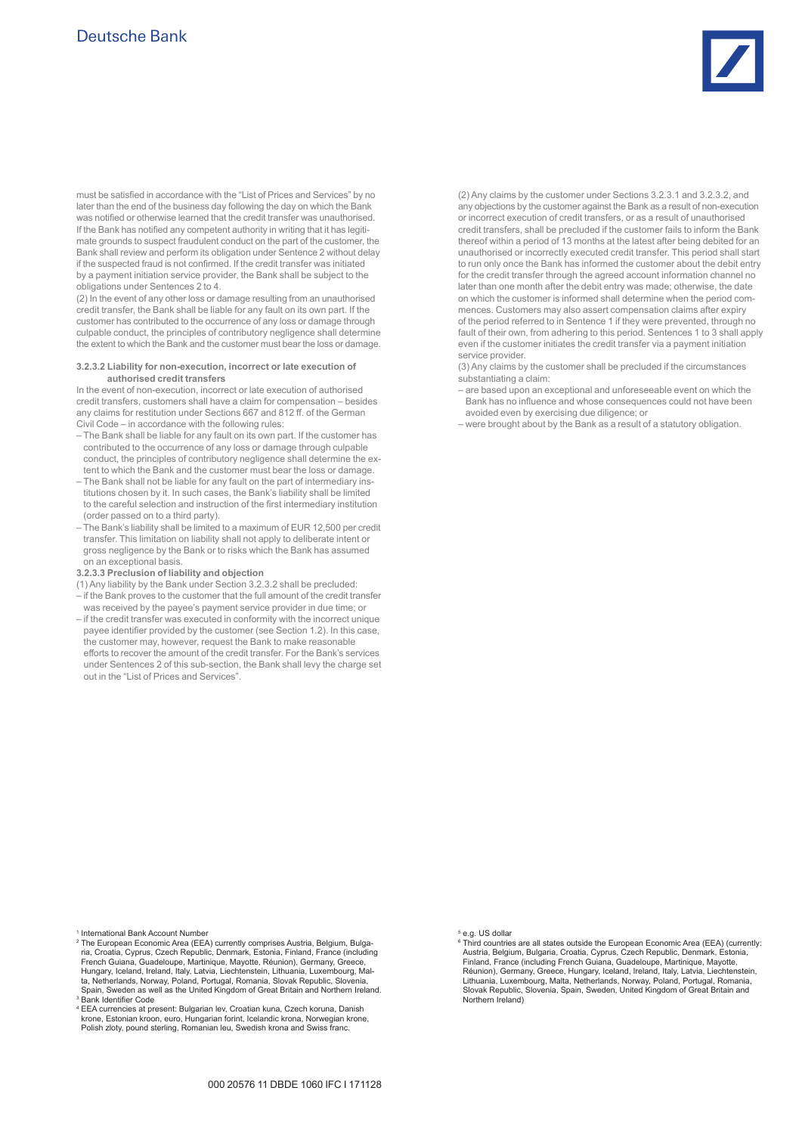

must be satisfied in accordance with the "List of Prices and Services" by no later than the end of the business day following the day on which the Bank was notified or otherwise learned that the credit transfer was unauthorised. If the Bank has notified any competent authority in writing that it has legitimate grounds to suspect fraudulent conduct on the part of the customer, the Bank shall review and perform its obligation under Sentence 2 without delay if the suspected fraud is not confirmed. If the credit transfer was initiated by a payment initiation service provider, the Bank shall be subject to the obligations under Sentences 2 to 4.

(2) In the event of any other loss or damage resulting from an unauthorised credit transfer, the Bank shall be liable for any fault on its own part. If the customer has contributed to the occurrence of any loss or damage through culpable conduct, the principles of contributory negligence shall determine the extent to which the Bank and the customer must bear the loss or damage.

#### **3.2.3.2 Liability for non-execution, incorrect or late execution of authorised credit transfers**

In the event of non-execution, incorrect or late execution of authorised credit transfers, customers shall have a claim for compensation – besides any claims for restitution under Sections 667 and 812 ff. of the German Civil Code – in accordance with the following rules:

- The Bank shall be liable for any fault on its own part. If the customer has contributed to the occurrence of any loss or damage through culpable conduct, the principles of contributory negligence shall determine the extent to which the Bank and the customer must bear the loss or damage.
- The Bank shall not be liable for any fault on the part of intermediary institutions chosen by it. In such cases, the Bank's liability shall be limited to the careful selection and instruction of the first intermediary institution (order passed on to a third party).
- The Bank's liability shall be limited to a maximum of EUR 12,500 per credit transfer. This limitation on liability shall not apply to deliberate intent or gross negligence by the Bank or to risks which the Bank has assumed on an exceptional basis.

#### **3.2.3.3 Preclusion of liability and objection**

(1) Any liability by the Bank under Section 3.2.3.2 shall be precluded:

- if the Bank proves to the customer that the full amount of the credit transfer was received by the payee's payment service provider in due time; or
- if the credit transfer was executed in conformity with the incorrect unique payee identifier provided by the customer (see Section 1.2). In this case, the customer may, however, request the Bank to make reasonable efforts to recover the amount of the credit transfer. For the Bank's services under Sentences 2 of this sub-section, the Bank shall levy the charge set out in the "List of Prices and Services".

(2) Any claims by the customer under Sections 3.2.3.1 and 3.2.3.2, and any objections by the customer against the Bank as a result of non-execution or incorrect execution of credit transfers, or as a result of unauthorised credit transfers, shall be precluded if the customer fails to inform the Bank thereof within a period of 13 months at the latest after being debited for an unauthorised or incorrectly executed credit transfer. This period shall start to run only once the Bank has informed the customer about the debit entry for the credit transfer through the agreed account information channel no later than one month after the debit entry was made; otherwise, the date on which the customer is informed shall determine when the period commences. Customers may also assert compensation claims after expiry of the period referred to in Sentence 1 if they were prevented, through no fault of their own, from adhering to this period. Sentences 1 to 3 shall apply even if the customer initiates the credit transfer via a payment initiation service provider.

(3) Any claims by the customer shall be precluded if the circumstances substantiating a claim:

- are based upon an exceptional and unforeseeable event on which the Bank has no influence and whose consequences could not have been avoided even by exercising due diligence; or
- were brought about by the Bank as a result of a statutory obligation.

1 International Bank Account Number

- <sup>2</sup> The European Economic Area (EEA) currently comprises Austria, Belgium, Bulga-ria, Croatia, Cyprus, Czech Republic, Denmark, Estonia, Finland, France (including French Guiana, Guadeloupe, Martinique, Mayotte, Réunion), Germany, Greece, Hungary, Iceland, Ireland, Italy, Latvia, Liechtenstein, Lithuania, Luxembourg, Malta, Netherlands, Norway, Poland, Portugal, Romania, Slovak Republic, Slovenia, Spain, Sweden as well as the United Kingdom of Great Britain and Northern Ireland. 3 Bank Identifier Code
- <sup>4</sup> EEA currencies at present: Bulgarian lev, Croatian kuna, Czech koruna, Danish krone, Estonian kroon, euro, Hungarian forint, Icelandic krona, Norwegian krone, Polish zloty, pound sterling, Romanian leu, Swedish krona and Swiss franc.

5 e.g. US dollar

<sup>6</sup> Third countries are all states outside the European Economic Area (EEA) (currently: Austria, Belgium, Bulgaria, Croatia, Cyprus, Czech Republic, Denmark, Estonia, Finland, France (including French Guiana, Guadeloupe, Martinique, Mayotte,<br>Réunion), Germany, Greece, Hungary, Iceland, Ireland, Italy, Latvia, Liechtenstein,<br>Lithuania, Luxembourg, Malta, Netherlands, Norway, Poland, Port Slovak Republic, Slovenia, Spain, Sweden, United Kingdom of Great Britain and Northern Ireland)